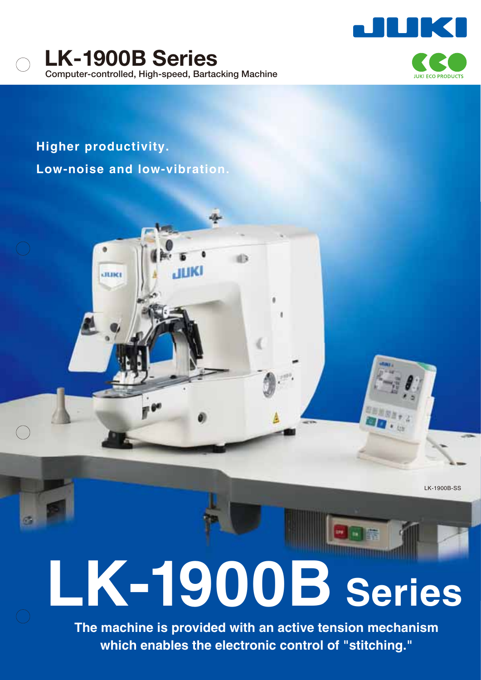

. II IK



**Higher productivity. Low-noise and low-vibration.**

ание

LK-1900B-SS

# **LK-1900B Series**

**The machine is provided with an active tension mechanism which enables the electronic control of "stitching."**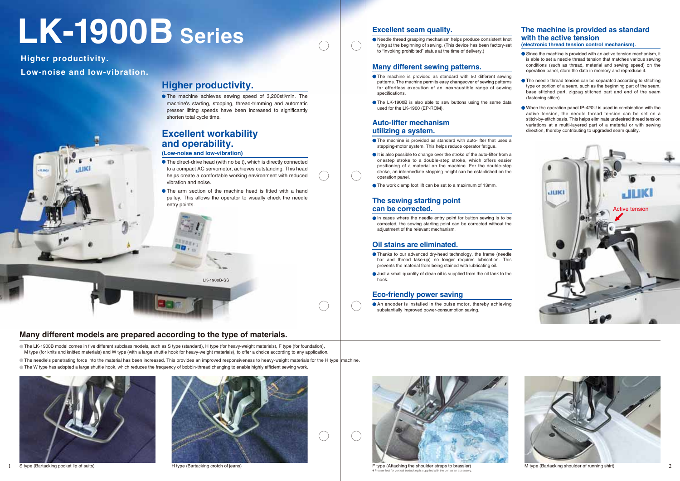

✽Presser foot for vertical bartacking is supplied with the unit as an accessory.

# **Higher productivity.**

The machine achieves sewing speed of 3,200sti/min. The machine's starting, stopping, thread-trimming and automatic presser lifting speeds have been increased to significantly shorten total cycle time.

### **Excellent workability and operability.**

#### **(Low-noise and low-vibration)**

- The direct-drive head (with no belt), which is directly connected to a compact AC servomotor, achieves outstanding. This head helps create a comfortable working environment with reduced vibration and noise.
- The arm section of the machine head is fitted with a hand pulley. This allows the operator to visually check the needle entry points.

# **LK-1900B Series**

**Many different models are prepared according to the type of materials.**

In cases where the needle entry point for button sewing is to be corrected, the sewing starting point can be corrected without the adjustment of the relevant mechanism.

#### **Excellent seam quality.**

#### **Eco-friendly power saving**

An encoder is installed in the pulse motor, thereby achieving substantially improved power-consumption saving.

- **Thanks to our advanced dry-head technology, the frame (needle** bar and thread take-up) no longer requires lubrication. This prevents the material from being stained with lubricating oil.
- Just a small quantity of clean oil is supplied from the oil tank to the hook.

Needle thread grasping mechanism helps produce consistent knot tying at the beginning of sewing. (This device has been factory-set to "invoking prohibited" status at the time of delivery.)

#### **Auto-lifter mechanism utilizing a system.**

- The machine is provided as standard with auto-lifter that uses a stepping-motor system. This helps reduce operator fatigue.
- It is also possible to change over the stroke of the auto-lifter from a onestep stroke to a double-step stroke, which offers easier positioning of a material on the machine. For the double-step stroke, an intermediate stopping height can be established on the operation panel.
- The work clamp foot lift can be set to a maximum of 13mm.
- Since the machine is provided with an active tension mechanism, it is able to set a needle thread tension that matches various sewing conditions (such as thread, material and sewing speed) on the operation panel, store the data in memory and reproduce it.
- The needle thread tension can be separated according to stitching type or portion of a seam, such as the beginning part of the seam, base stitched part, zigzag stitched part and end of the seam (fastening stitch).
- When the operation panel IP-420U is used in combination with the active tension, the needle thread tension can be set on a stitch-by-stitch basis. This helps eliminate undesired thread tension variations at a multi-layered part of a material or with sewing direction, thereby contributing to upgraded seam quality.

#### **The sewing starting point can be corrected.**

#### **Oil stains are eliminated.**

#### **Many different sewing patterns.**

#### **The machine is provided as standard with the active tension (electronic thread tension control mechanism).**

- The machine is provided as standard with 50 different sewing patterns. The machine permits easy changeover of sewing patterns for effortless execution of an inexhaustible range of sewing specifications.
- The LK-1900B is also able to sew buttons using the same data used for the LK-1900 (EP-ROM).





1 S type (Bartacking pocket lip of suits) H type (Bartacking crotch of jeans) F type (Attaching the shoulder straps to brassier) M type (Bartacking shoulder of running shirt) 2

**Higher productivity. Low-noise and low-vibration.**



LK-1900B-SS

The LK-1900B model comes in five different subclass models, such as S type (standard), H type (for heavy-weight materials), F type (for foundation), M type (for knits and knitted materials) and W type (with a large shuttle hook for heavy-weight materials), to offer a choice according to any application.

The needle's penetrating force into the material has been increased. This provides an improved responsiveness to heavy-weight materials for the H type machine.

The W type has adopted a large shuttle hook, which reduces the frequency of bobbin-thread changing to enable highly efficient sewing work.



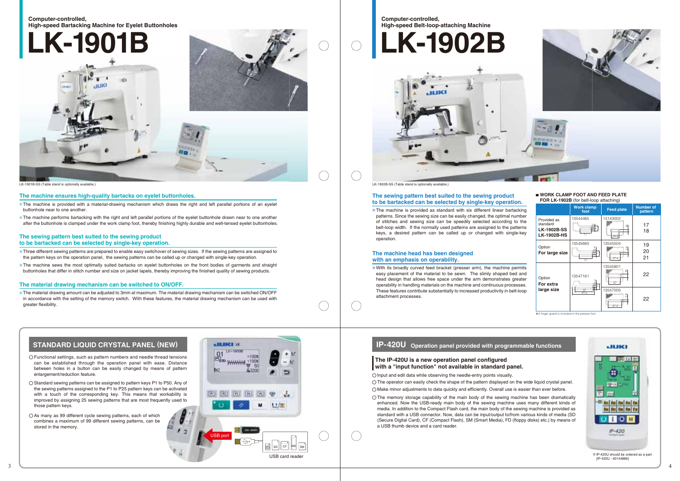✽A finger guard is included in the presser foot.

#### **Computer-controlled, High-speed Bartacking Machine for Eyelet Buttonholes**

1,7000 南南向 国 USB port

**ERD WWWW TOON** 

 $×1008$ 

50



#### **Computer-controlled, High-speed Belt-loop-attaching Machine**





|                                                                     | <b>Work clamp</b><br>foot | <b>Feed plate</b>           | <b>Number of</b><br>pattern |
|---------------------------------------------------------------------|---------------------------|-----------------------------|-----------------------------|
| Provided as<br>standard<br><b>LK-1902B-SS</b><br><b>LK-1902B-HS</b> | 13544465                  | 14143002<br>위<br>24.8       | 17<br>18                    |
| Option<br>For large size                                            | 13545660<br>27            | 13545504<br>∞<br>οĴ<br>27.4 | 19<br>20<br>21              |
| Option<br>For extra                                                 | 13547161                  | 13545801<br>₽<br>37         | 22                          |
| large size                                                          | $\frac{37}{41.5}$         | 13547005<br>∞<br>N<br>37.4  | 22                          |

#### The sewing pattern best suited to the sewing product **to be bartacked can be selected by single-key operation.**

USB card reader

 $\begin{array}{c|c|c|c|c} \hline \mbox{min} & \mbox{SD} & \mbox{CFT} & \mbox{MS} & \mbox{SM} \ \hline \end{array}$ 

The machine is provided as standard with six different linear bartacking patterns. Since the sewing size can be easily changed, the optimal number of stitches and sewing size can be speedily selected according to the belt-loop width. If the normally used patterns are assigned to the patterns keys, a desired pattern can be called up or changed with single-key operation.

- **The machine is provided with a material-drawing mechanism which draws the right and left parallel portions of an eyelet** buttonhole near to one another.
- **The machine performs bartacking with the right and left parallel portions of the eyelet buttonhole drawn near to one another** after the buttonhole is clamped under the work clamp foot, thereby finishing highly durable and well-tensed eyelet buttonholes.

#### **The machine head has been designed with an emphasis on operability.**

With its broadly curved feed bracket (presser arm), the machine permits easy placement of the material to be sewn. The slimly shaped bed and head design that allows free space under the arm demonstrates greater operability in handling materials on the machine and continuous processes. These features contribute substantially to increased productivity in belt-loop attachment processes.

#### **IP-420U** Operation panel provided with programmable functions



**The machine ensures high-quality bartacks on eyelet buttonholes.**

#### **The sewing pattern best suited to the sewing product to be bartacked can be selected by single-key operation.**

- Three different sewing patterns are prepared to enable easy switchover of sewing sizes. If the sewing patterns are assigned to the pattern keys on the operation panel, the sewing patterns can be called up or changed with single-key operation.
- **The machine sews the most optimally suited bartacks on eyelet buttonholes on the front bodies of garments and straight** buttonholes that differ in stitch number and size on jacket lapels, thereby improving the finished quality of sewing products.

#### **The material drawing mechanism can be switched to ON/OFF.**

The material drawing amount can be adjusted to 3mm at maximum. The material drawing mechanism can be switched ON/OFF in accordance with the setting of the memory switch. With these features, the material drawing mechanism can be used with greater flexibility.

#### **STANDARD LIQUID CRYSTAL PANEL (NEW) IP A LIMIT OF**

The operator can easily check the shape of the pattern displayed on the wide liquid crystal panel. Make minor adjustments to data quickly and efficiently. Overall use is easier than ever before.

- Functional settings, such as pattern numbers and needle thread tensions can be established through the operation panel with ease. Distance between holes in a button can be easily changed by means of pattern enlargement/reduction feature. The input and edit data while observing the needle-entry points visually.
- $\bigcirc$  Standard sewing patterns can be assigned to pattern keys P1 to P50. Any of the sewing patterns assigned to the P1 to P25 pattern keys can be activated with a touch of the corresponding key. This means that workability is improved by assigning 25 sewing patterns that are most frequently used to those pattern keys.
- C As many as 99 different cycle sewing patterns, each of which combines a maximum of 99 different sewing patterns, can be stored in the memory.

The memory storage capability of the main body of the sewing machine has been dramatically enhanced. Now the USB-ready main body of the sewing machine uses many different kinds of media. In addition to the Compact Flash card, the main body of the sewing machine is provided as standard with a USB connector. Now, data can be input/output to/from various kinds of media (SD (Secure Digital Card), CF (Compact Flash), SM (Smart Media), FD (floppy disks) etc.) by means of a USB thumb device and a card reader.

# **WORK CLAMP FOOT AND FEED PLATE**<br>**FOR LK-1902B** (for belt-loop attaching)

#### **The IP-420U is a new operation panel configured with a "input function" not available in standard panel.**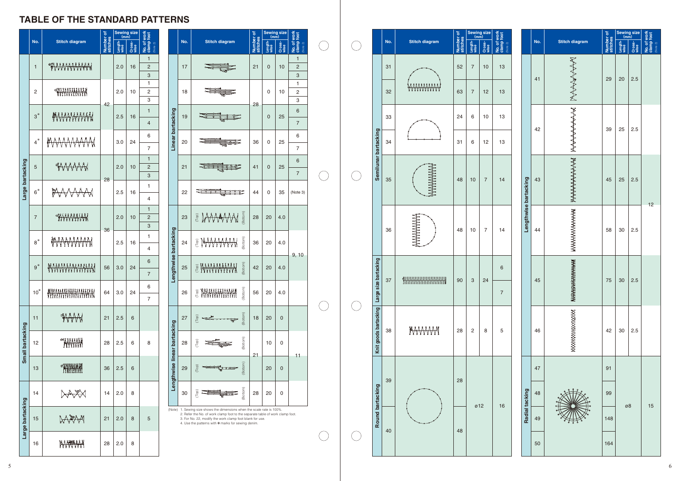# **TABLE OF THE STANDARD PATTERNS**

|                  |                |                       |                       |                 | Sewing size<br>(mm) |                                              |  | <b>Stitch diagram</b> |    |                                                                                                                                                                                                                      |                       | No.             |                |                                              |  |                         |  |  |  |  |  |  |  | Sewing size |  |  |  |  |  |  |  |  |  |
|------------------|----------------|-----------------------|-----------------------|-----------------|---------------------|----------------------------------------------|--|-----------------------|----|----------------------------------------------------------------------------------------------------------------------------------------------------------------------------------------------------------------------|-----------------------|-----------------|----------------|----------------------------------------------|--|-------------------------|--|--|--|--|--|--|--|-------------|--|--|--|--|--|--|--|--|--|
|                  | No.            | <b>Stitch diagram</b> | Number of<br>stitches | Length-<br>wise | Cross-<br>wise      | <b>No. of work</b><br>clamp foot<br>(Note 2) |  |                       |    |                                                                                                                                                                                                                      | Number of<br>stitches | Length-<br>wise | Cross-<br>wise | <b>No. of work</b><br>clamp foot<br>(Note 2) |  |                         |  |  |  |  |  |  |  |             |  |  |  |  |  |  |  |  |  |
|                  | $\mathbf{1}$   |                       |                       | 2.0             | 16                  | 1<br>$\overline{c}$                          |  |                       | 17 |                                                                                                                                                                                                                      | 21                    | $\mathbf 0$     | 10             | 1<br>$\overline{c}$                          |  |                         |  |  |  |  |  |  |  |             |  |  |  |  |  |  |  |  |  |
|                  |                |                       |                       |                 |                     | 3<br>1                                       |  |                       |    |                                                                                                                                                                                                                      |                       |                 |                | 3<br>1                                       |  |                         |  |  |  |  |  |  |  |             |  |  |  |  |  |  |  |  |  |
|                  | 2              |                       |                       | 2.0             | 10                  | $\sqrt{2}$                                   |  |                       | 18 |                                                                                                                                                                                                                      |                       | 0               | 10             | 2                                            |  |                         |  |  |  |  |  |  |  |             |  |  |  |  |  |  |  |  |  |
|                  |                |                       | 42                    |                 |                     | 3<br>$\mathbf{1}$                            |  |                       |    |                                                                                                                                                                                                                      | 28                    |                 |                | 3<br>6                                       |  |                         |  |  |  |  |  |  |  |             |  |  |  |  |  |  |  |  |  |
|                  | $3*$           | <b>WWWWWW</b>         |                       | 2.5             | 16                  | 4                                            |  | Linear bartacking     | 19 |                                                                                                                                                                                                                      |                       | $\mathbf 0$     | 25             | $\overline{7}$                               |  |                         |  |  |  |  |  |  |  |             |  |  |  |  |  |  |  |  |  |
|                  | $4^*$          | MWWWW                 |                       | 3.0             | 24                  | 6                                            |  |                       | 20 |                                                                                                                                                                                                                      | 36                    | 0               | 25             | 6                                            |  |                         |  |  |  |  |  |  |  |             |  |  |  |  |  |  |  |  |  |
|                  |                |                       |                       |                 |                     | $\overline{7}$                               |  |                       |    |                                                                                                                                                                                                                      |                       |                 |                | $\overline{7}$                               |  | Semilunar bartacking    |  |  |  |  |  |  |  |             |  |  |  |  |  |  |  |  |  |
|                  | 5              | KAAAAH                |                       | 2.0             | 10                  | $\mathbf{1}$<br>$\overline{c}$               |  |                       | 21 |                                                                                                                                                                                                                      | 41                    | $\mathbf 0$     | 25             | 6                                            |  |                         |  |  |  |  |  |  |  |             |  |  |  |  |  |  |  |  |  |
| bartacking       |                |                       | 28                    |                 |                     | 3                                            |  |                       |    |                                                                                                                                                                                                                      |                       |                 |                | $\overline{7}$                               |  |                         |  |  |  |  |  |  |  |             |  |  |  |  |  |  |  |  |  |
| Large            | $6*$           | AAAM                  |                       | 2.5             | 16                  | $\mathbf{1}$<br>4                            |  |                       | 22 |                                                                                                                                                                                                                      | 44                    | 0               | 35             | (Note 3)                                     |  |                         |  |  |  |  |  |  |  |             |  |  |  |  |  |  |  |  |  |
|                  |                |                       |                       |                 |                     | $\mathbf{1}$                                 |  |                       |    |                                                                                                                                                                                                                      |                       |                 |                |                                              |  |                         |  |  |  |  |  |  |  |             |  |  |  |  |  |  |  |  |  |
|                  | $\overline{7}$ | <b>WWWWW</b>          |                       | 2.0             | 10                  | $\overline{2}$<br>3                          |  |                       | 23 | (Bottom<br>E MWWW                                                                                                                                                                                                    | 28                    | 20              | 4.0            |                                              |  |                         |  |  |  |  |  |  |  |             |  |  |  |  |  |  |  |  |  |
|                  | $8*$           | AWWWW                 | 36                    | 2.5             | 16                  | 1                                            |  | bartacking            | 24 | (Bottom)<br>E MAAAAAM                                                                                                                                                                                                | 36                    | 20              | 4.0            |                                              |  |                         |  |  |  |  |  |  |  |             |  |  |  |  |  |  |  |  |  |
|                  |                |                       |                       |                 |                     | 4                                            |  |                       |    |                                                                                                                                                                                                                      |                       |                 |                | 9, 10                                        |  |                         |  |  |  |  |  |  |  |             |  |  |  |  |  |  |  |  |  |
|                  | $9*$           | <b>MAAANAMAANA</b>    | 56                    | 3.0             | 24                  | 6                                            |  | Lengthwise            | 25 | (Bottom)<br><b>E WWWWWW</b>                                                                                                                                                                                          | 42                    | 20              | 4.0            |                                              |  | ze bartacking           |  |  |  |  |  |  |  |             |  |  |  |  |  |  |  |  |  |
|                  |                |                       |                       |                 |                     | $\overline{7}$<br>6                          |  |                       |    |                                                                                                                                                                                                                      |                       |                 |                |                                              |  |                         |  |  |  |  |  |  |  |             |  |  |  |  |  |  |  |  |  |
|                  | $10*$          | ₩                     | 64                    | 3.0             | 24                  | $\overline{7}$                               |  |                       | 26 | (Bottom)<br><b>E MARAMANAN</b><br>₩                                                                                                                                                                                  | 56                    | 20              | 4.0            |                                              |  | $\overline{a}$<br>Large |  |  |  |  |  |  |  |             |  |  |  |  |  |  |  |  |  |
|                  |                |                       |                       |                 |                     |                                              |  |                       |    |                                                                                                                                                                                                                      |                       |                 |                |                                              |  |                         |  |  |  |  |  |  |  |             |  |  |  |  |  |  |  |  |  |
|                  | 11             | WWW                   | 21                    | 2.5             | 6                   |                                              |  |                       | 27 | (Bottom)<br>Top)                                                                                                                                                                                                     | 18                    | 20              | $\mathbf 0$    |                                              |  | Knit goods bartacking   |  |  |  |  |  |  |  |             |  |  |  |  |  |  |  |  |  |
| Small bartacking | 12             | <b>ENTERNAL</b>       | 28                    | 2.5             | 6                   | 8                                            |  | bartacking            | 28 | (Bottom)<br>(Top)                                                                                                                                                                                                    |                       | 10              | 0              |                                              |  |                         |  |  |  |  |  |  |  |             |  |  |  |  |  |  |  |  |  |
|                  |                |                       |                       |                 |                     |                                              |  | linear                |    |                                                                                                                                                                                                                      | 21                    |                 |                | 11                                           |  |                         |  |  |  |  |  |  |  |             |  |  |  |  |  |  |  |  |  |
|                  | 13             |                       | 36                    | 2.5             | 6                   |                                              |  |                       | 29 | (Bottom)<br>(Top)                                                                                                                                                                                                    |                       | 20              | $\mathbf 0$    |                                              |  |                         |  |  |  |  |  |  |  |             |  |  |  |  |  |  |  |  |  |
|                  |                |                       |                       |                 |                     |                                              |  | Lengthwise            |    |                                                                                                                                                                                                                      |                       |                 |                |                                              |  |                         |  |  |  |  |  |  |  |             |  |  |  |  |  |  |  |  |  |
|                  | 14             | I <del>V</del>        | 14                    | 2.0             | 8                   |                                              |  |                       | 30 | (Bottom)<br>.<br>Iop                                                                                                                                                                                                 | 28                    | 20              | $\mathbf 0$    |                                              |  |                         |  |  |  |  |  |  |  |             |  |  |  |  |  |  |  |  |  |
|                  | 15             | XX                    | 21                    | 2.0             | 8                   | 5                                            |  |                       |    | (Note) 1. Sewing size shows the dimensions when the scale rate is 100%.<br>2. Refer the No. of work clamp foot to the separate table of work clamp foot.<br>3. For No. 22, modify the work clamp foot blank for use. |                       |                 |                |                                              |  | <b>Round bartacking</b> |  |  |  |  |  |  |  |             |  |  |  |  |  |  |  |  |  |
| Large bartacking |                |                       |                       |                 |                     |                                              |  |                       |    | 4. Use the patterns with * marks for sewing denim.                                                                                                                                                                   |                       |                 |                |                                              |  |                         |  |  |  |  |  |  |  |             |  |  |  |  |  |  |  |  |  |
|                  | 16             |                       | 28                    | 2.0             | 8                   |                                              |  |                       |    |                                                                                                                                                                                                                      |                       |                 |                |                                              |  |                         |  |  |  |  |  |  |  |             |  |  |  |  |  |  |  |  |  |
|                  |                |                       |                       |                 |                     |                                              |  |                       |    |                                                                                                                                                                                                                      |                       |                 |                |                                              |  |                         |  |  |  |  |  |  |  |             |  |  |  |  |  |  |  |  |  |

|                          |  |                       |     |                       | Sewing size<br>(mm)   |                 |                |                         |     |    |
|--------------------------|--|-----------------------|-----|-----------------------|-----------------------|-----------------|----------------|-------------------------|-----|----|
| $clamp$ foot<br>(Note 2) |  |                       | No. | <b>Stitch diagram</b> | Number of<br>stitches | Length-<br>wise | Cross-<br>wise | No. of work<br>(Note 2) |     |    |
| 13<br>13                 |  |                       | 41  | MANAN                 | 29                    | 20              | 2.5            |                         |     |    |
| 13<br>13                 |  |                       | 42  | የሌሎች የተ               | 39                    | 25              | 2.5            |                         |     |    |
| 14                       |  | Lengthwise bartacking |     |                       | 43                    | የትትትትትትትት       | 45             | 25                      | 2.5 | 12 |
| 14                       |  |                       | 44  | አንተዋል የተያያያ ምሳሌ       | 58                    | 30              | 2.5            |                         |     |    |
| 6<br>$\overline{7}$      |  |                       | 45  | rhmmhn                | 75                    | 30              | 2.5            |                         |     |    |
| 5                        |  |                       | 46  | 42                    |                       | 30              | 2.5            |                         |     |    |
|                          |  | Radial tacking        | 47  |                       | 91                    |                 |                |                         |     |    |
| 16                       |  |                       | 48  |                       | 99                    |                 |                | 15                      |     |    |
|                          |  |                       | 49  |                       | 148                   | ø8              |                |                         |     |    |
|                          |  | 50                    |     | 164                   |                       |                 |                |                         |     |    |

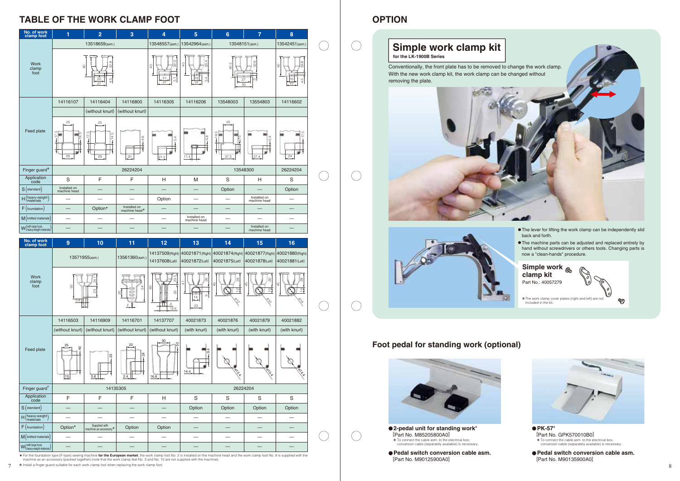# TABLE OF THE WORK CLAMP FOOT **A CONSERVERT CONSUMING THE WORK CLAMP** FOOT

| No. of work<br>clamp foot                   | $\overline{2}$                                                                                                                                                                                                                                                   | $\mathbf{3}$                                        | 5 <sup>5</sup>                                                                                                       | $6\phantom{1}6$<br>7                                            | 8 <sup>°</sup>                  |  |                                                                                                                                                                                                                                                                                |
|---------------------------------------------|------------------------------------------------------------------------------------------------------------------------------------------------------------------------------------------------------------------------------------------------------------------|-----------------------------------------------------|----------------------------------------------------------------------------------------------------------------------|-----------------------------------------------------------------|---------------------------------|--|--------------------------------------------------------------------------------------------------------------------------------------------------------------------------------------------------------------------------------------------------------------------------------|
|                                             | 13518659(asm.)                                                                                                                                                                                                                                                   |                                                     | 13548557(asm.)<br>13542964(asm.)                                                                                     | 13548151(asm.)                                                  | 13542451(asm.                   |  | Simple work clamp kit                                                                                                                                                                                                                                                          |
| Work<br>clamp                               |                                                                                                                                                                                                                                                                  |                                                     |                                                                                                                      |                                                                 | $6 - 3$<br><b>Communication</b> |  | for the LK-1900B Series<br>Conventionally, the front plate has to be removed to change the work clamp.                                                                                                                                                                         |
| foot                                        |                                                                                                                                                                                                                                                                  |                                                     | $\frac{21}{27}$                                                                                                      | -27<br>35                                                       |                                 |  | With the new work clamp kit, the work clamp can be changed without<br>removing the plate.                                                                                                                                                                                      |
|                                             |                                                                                                                                                                                                                                                                  |                                                     |                                                                                                                      |                                                                 |                                 |  |                                                                                                                                                                                                                                                                                |
|                                             | 14116107<br>14116404                                                                                                                                                                                                                                             | 14116800<br>(without knurl) (without knurl)         | 14116305<br>14116206                                                                                                 | 13548003<br>13554803                                            | 14116602                        |  |                                                                                                                                                                                                                                                                                |
|                                             | $^{25}$<br>25                                                                                                                                                                                                                                                    |                                                     |                                                                                                                      | 25                                                              |                                 |  |                                                                                                                                                                                                                                                                                |
| Feed plate                                  |                                                                                                                                                                                                                                                                  |                                                     |                                                                                                                      |                                                                 |                                 |  |                                                                                                                                                                                                                                                                                |
|                                             |                                                                                                                                                                                                                                                                  |                                                     |                                                                                                                      |                                                                 |                                 |  |                                                                                                                                                                                                                                                                                |
|                                             | 29<br>29                                                                                                                                                                                                                                                         | 20                                                  | 11.4<br>21.2                                                                                                         | 37.3<br>27.4                                                    | 24                              |  |                                                                                                                                                                                                                                                                                |
| Finger guard*                               | F.                                                                                                                                                                                                                                                               | 26224204<br>$\blacksquare$                          |                                                                                                                      | 13548300                                                        | 26224204                        |  |                                                                                                                                                                                                                                                                                |
| Application<br>code<br>$S$ (standard)       | S<br>Installed on<br>$\hspace{0.1mm}-\hspace{0.1mm}$<br>machine head                                                                                                                                                                                             |                                                     | H<br>M<br>$\overline{\phantom{0}}$<br>$\overline{\phantom{0}}$                                                       | S<br>H<br>Option<br>$\overline{\phantom{m}}$                    | S<br>Option                     |  |                                                                                                                                                                                                                                                                                |
| $H$ (heavy-weight)                          | $\overline{\phantom{m}}$<br>$\overline{\phantom{m}}$                                                                                                                                                                                                             | $\overline{\phantom{0}}$                            | Option<br>$\hspace{0.1mm}-\hspace{0.1mm}$                                                                            | Installed on<br>$\hspace{0.1mm}-\hspace{0.1mm}$<br>machine head | $\overline{\phantom{a}}$        |  |                                                                                                                                                                                                                                                                                |
| $F$ (foundation)<br>$M$ (knitted materials) | Option*<br>$\hspace{0.1mm}-\hspace{0.1mm}$                                                                                                                                                                                                                       | Installed on<br>machine head*                       | $\overline{\phantom{a}}$<br>$\hspace{0.1mm}-\hspace{0.1mm}$<br>Installed on                                          | $\overline{\phantom{m}}$<br>$\hspace{0.1mm}-\hspace{0.1mm}$     | $\overline{\phantom{0}}$        |  |                                                                                                                                                                                                                                                                                |
| W (with large hook,<br>Meavy-weight mater   | $\hspace{0.1mm}-\hspace{0.1mm}$<br>$\overline{\phantom{m}}$<br>$\overline{\phantom{m}}$                                                                                                                                                                          | $\hspace{0.1mm}-\hspace{0.1mm}$                     | $\hspace{0.1mm}-\hspace{0.1mm}$<br>machine head<br>$\hspace{0.1mm}-\hspace{0.1mm}$<br>$\qquad \qquad \longleftarrow$ | —<br>Installed on<br>machine head                               | —                               |  | • The lever for lifting the work clamp can be independently slid                                                                                                                                                                                                               |
| No. of work<br>clamp foot                   | 9<br>10 <sub>1</sub>                                                                                                                                                                                                                                             | 11                                                  | 12<br>13 <sup>°</sup>                                                                                                | 15 <sub>1</sub><br>14 <sub>1</sub>                              | 16                              |  | back and forth.<br>. The machine parts can be adjusted and replaced entirely by                                                                                                                                                                                                |
|                                             | 13571955(asm.)                                                                                                                                                                                                                                                   | 13561360(asm.                                       | 14137509(Right) 40021871(Right) 40021874(Right) 40021877(Right) 40021880(Right)                                      |                                                                 |                                 |  | hand without screwdrivers or others tools. Changing parts is<br>now a "clean-hands" procedure.                                                                                                                                                                                 |
|                                             |                                                                                                                                                                                                                                                                  |                                                     | 14137608(Left) 40021872(Left) 40021875(Left) 40021878(Left) 40021881(Left)                                           |                                                                 |                                 |  | Simple work $_{\text{R}}$                                                                                                                                                                                                                                                      |
| Work<br>clamp<br>foot                       |                                                                                                                                                                                                                                                                  |                                                     |                                                                                                                      |                                                                 |                                 |  | clamp kit<br>Part No.: 40057279                                                                                                                                                                                                                                                |
|                                             |                                                                                                                                                                                                                                                                  |                                                     | 14                                                                                                                   |                                                                 |                                 |  | II O<br>* The work clamp cover plates (right and left) are not<br>☜                                                                                                                                                                                                            |
|                                             |                                                                                                                                                                                                                                                                  |                                                     | $ 23 -$<br>13.6                                                                                                      |                                                                 |                                 |  | included in the kit.                                                                                                                                                                                                                                                           |
|                                             | 14116909<br>14116503                                                                                                                                                                                                                                             | 14116701                                            | 14137707<br>40021873                                                                                                 | 40021876<br>40021879                                            | 40021882                        |  |                                                                                                                                                                                                                                                                                |
|                                             | (without knurl)                                                                                                                                                                                                                                                  | (without knurl)   (without knurl)   (without knurl) | (with knurl)                                                                                                         | (with knurl)<br>(with knurl)                                    | (with knurl)                    |  |                                                                                                                                                                                                                                                                                |
| Feed plate                                  | 25                                                                                                                                                                                                                                                               |                                                     |                                                                                                                      |                                                                 |                                 |  | Foot pedal for standing work (optional)                                                                                                                                                                                                                                        |
|                                             |                                                                                                                                                                                                                                                                  |                                                     |                                                                                                                      |                                                                 |                                 |  |                                                                                                                                                                                                                                                                                |
|                                             | 5.6<br>15                                                                                                                                                                                                                                                        | 2.4                                                 | 14.4<br>16.6                                                                                                         |                                                                 |                                 |  |                                                                                                                                                                                                                                                                                |
| Finger guard*                               |                                                                                                                                                                                                                                                                  | 14135305                                            |                                                                                                                      | 26224204                                                        |                                 |  |                                                                                                                                                                                                                                                                                |
| Application<br>code<br>$S$ (standard)       | E<br>E<br>$\hspace{0.1mm}-\hspace{0.1mm}$<br>$\overline{\phantom{0}}$                                                                                                                                                                                            | $\hspace{0.1mm}-\hspace{0.1mm}$                     | H<br>S<br>Option<br>$\hspace{0.1mm}-\hspace{0.1mm}$                                                                  | S<br>S<br>Option<br>Option                                      | S<br>Option                     |  |                                                                                                                                                                                                                                                                                |
| $H$ (heavy-weight)                          | $\hspace{0.1mm}-\hspace{0.1mm}$<br>$\overline{\phantom{a}}$                                                                                                                                                                                                      | $\overline{\phantom{m}}$                            | $\overline{\phantom{0}}$<br>$\hspace{0.1mm}-\hspace{0.1mm}$                                                          | $\overline{\phantom{0}}$<br>$\overline{\phantom{m}}$            |                                 |  |                                                                                                                                                                                                                                                                                |
| $F$ (foundation)                            | Supplied with<br>Option*<br>machine as accessory*                                                                                                                                                                                                                | Option                                              | Option<br>$\overline{\phantom{0}}$                                                                                   | $\hspace{0.1mm}-\hspace{0.1mm}$                                 | $\overbrace{\phantom{13333}}$   |  | $\bullet$ PK-57 $^*$<br>● 2-pedal unit for standing work*                                                                                                                                                                                                                      |
| M (knitted materials                        | $\overline{\phantom{m}}$<br>$\overline{\phantom{m}}$                                                                                                                                                                                                             | $\overbrace{\phantom{12333}}$                       | $\overline{\phantom{a}}$<br>$\overbrace{\phantom{13333}}$                                                            | $\overline{\phantom{m}}$                                        | $\overline{\phantom{m}}$        |  | [Part No. M85205800A0]<br>[Part No. GPK570010B0]<br>* To connect the cable asm. to the electrical box,<br>conversion cable (separately available) is necessary.<br>* To connect the cable asm. to the electrical box,<br>conversion cable (separately available) is necessary. |
| W (with large hook,<br>W (heavy-weight mate | $\hspace{0.1mm}-\hspace{0.1mm}$<br>★ For the foundation type (F-type) sewing machine for the European market, the work clamp foot No. 2 is installed on the machine head and the work clamp foot No. 9 is supplied with the machine as an accessory (packed toge | $\hspace{0.1mm}-\hspace{0.1mm}$                     | $\hspace{0.1mm}-\hspace{0.1mm}$                                                                                      | $\hspace{0.1mm}-\hspace{0.1mm}$                                 | $\hspace{0.1mm}-\hspace{0.1mm}$ |  | ● Pedal switch conversion cable asm.<br>● Pedal switch conversion cable asm.                                                                                                                                                                                                   |
|                                             | * Install a finger guard suitable for each work clamp foot when replacing the work clamp foot.                                                                                                                                                                   |                                                     |                                                                                                                      |                                                                 |                                 |  | [Part No. M90125900A0]<br>[Part No. M90135900A0]                                                                                                                                                                                                                               |

- The lever for lifting the work clamp can be independently slid back and forth.
- The machine parts can be adjusted and replaced entirely by hand without screwdrivers or others tools. Changing parts is now a "clean-hands" procedure.



# **Simple work clamp kit Foot pedal for standing work (optional) for the LK-1900B Series** Conventionally, the front plate has to be removed to change the work clamp. With the new work clamp kit, the work clamp can be changed without removing the plate.





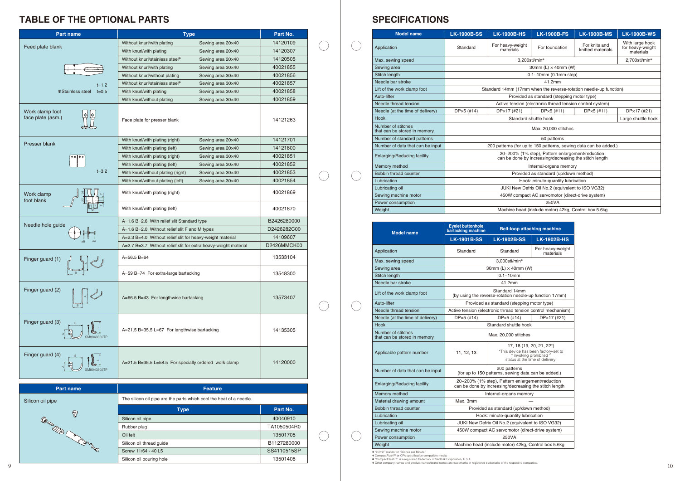# **TABLE OF THE OPTIONAL PARTS**

✽ ✽ ✽ ✽

"sti/min" stands for "Stiches per Minute"<br>CompactFlash™ or CFA specification compatible media.<br>"CompactFlash™" is a registered trademark of SanDisk Corporation, U.S.A.<br>"Other company names and product names/brand names ar

# **SPECIFICATIONS**

| <b>Part name</b>                     | <b>Type</b>                                                     | Part No.    |  |
|--------------------------------------|-----------------------------------------------------------------|-------------|--|
|                                      | Without knurl/with plating<br>Sewing area 20×40                 | 14120109    |  |
| Feed plate blank                     | With knurl/with plating<br>Sewing area 20×40                    | 14120307    |  |
|                                      | Without knurl/stainless steel*<br>Sewing area 20×40             | 14120505    |  |
|                                      | Without knurl/with plating<br>Sewing area 30×40                 | 40021855    |  |
|                                      | Without knurl/without plating<br>Sewing area 30×40              | 40021856    |  |
| $t = 1.2$                            | Without knurl/stainless steel*<br>Sewing area 30×40             | 40021857    |  |
| *Stainless steel<br>$t = 0.5$        | With knurl/with plating<br>Sewing area 30×40                    | 40021858    |  |
|                                      | With knurl/without plating<br>Sewing area 30×40                 | 40021859    |  |
| Work clamp foot<br>face plate (asm.) | Face plate for presser blank                                    | 14121263    |  |
|                                      | With knurl/with plating (right)<br>Sewing area 20×40            | 14121701    |  |
| Presser blank                        | With knurl/with plating (left)<br>Sewing area 20×40             | 14121800    |  |
|                                      | With knurl/with plating (right)<br>Sewing area 30×40            | 40021851    |  |
|                                      | With knurl/with plating (left)<br>Sewing area 30×40             | 40021852    |  |
| $t = 3.2$                            | With knurl/without plating (right)<br>Sewing area 30×40         | 40021853    |  |
|                                      | With knurl/without plating (left)<br>Sewing area 30×40          | 40021854    |  |
| Work clamp<br>foot blank             | With knurl/with plating (right)                                 | 40021869    |  |
|                                      | With knurl/with plating (left)                                  | 40021870    |  |
| Needle hole guide                    | A=1.6 B=2.6 With relief slit Standard type                      | B2426280000 |  |
|                                      | A=1.6 B=2.0 Without relief slit F and M types                   | D2426282C00 |  |
|                                      | A=2.3 B=4.0 Without relief slit for heavy-weight material       | 14109607    |  |
|                                      | A=2.7 B=3.7 Without relief slit for extra heavy-weight material | D2426MMCK00 |  |
| Finger guard (1)                     | A=56.5 B=64                                                     | 13533104    |  |
|                                      | A=59 B=74 For extra-large bartacking                            | 13548300    |  |
| Finger guard (2)                     | A=66.5 B=43 For lengthwise bartacking                           | 13573407    |  |
| Finger guard (3)                     | A=21.5 B=35.5 L=67 For lengthwise bartacking                    | 14135305    |  |
| Finger guard (4)                     | A=21.5 B=35.5 L=58.5 For specially ordered work clamp           | 14120000    |  |

| <b>Model name</b>                                  | <b>Eyelet buttonhole</b><br>bartacking machine    | <b>Belt-loop attaching machine</b>                                                                         |                                                                                                                               |  |  |  |
|----------------------------------------------------|---------------------------------------------------|------------------------------------------------------------------------------------------------------------|-------------------------------------------------------------------------------------------------------------------------------|--|--|--|
|                                                    | <b>LK-1901B-SS</b>                                | <b>LK-1902B-SS</b>                                                                                         | <b>LK-1902B-HS</b>                                                                                                            |  |  |  |
| Application                                        | Standard                                          | Standard                                                                                                   | For heavy-weight<br>materials                                                                                                 |  |  |  |
| Max. sewing speed                                  | 3,000sti/min*                                     |                                                                                                            |                                                                                                                               |  |  |  |
| Sewing area                                        | 30mm (L) $\times$ 40mm (W)                        |                                                                                                            |                                                                                                                               |  |  |  |
| Stitch length                                      |                                                   | $0.1 - 10$ mm                                                                                              |                                                                                                                               |  |  |  |
| Needle bar stroke                                  |                                                   | 41.2mm                                                                                                     |                                                                                                                               |  |  |  |
| Lift of the work clamp foot                        |                                                   | Standard 14mm<br>(by using the reverse-rotation needle-up function 17mm)                                   |                                                                                                                               |  |  |  |
| Auto-lifter                                        |                                                   | Provided as standard (stepping motor type)                                                                 |                                                                                                                               |  |  |  |
| Needle thread tension                              |                                                   | Active tension (electronic thread tension control mechanism)                                               |                                                                                                                               |  |  |  |
| Needle (at the time of delivery)                   | $DPx5$ (#14)                                      | $DPx5$ (#14)                                                                                               |                                                                                                                               |  |  |  |
| Hook                                               | Standard shuttle hook                             |                                                                                                            |                                                                                                                               |  |  |  |
| Number of stitches<br>that can be stored in memory | Max. 20,000 stitches                              |                                                                                                            |                                                                                                                               |  |  |  |
| Applicable pattern number                          | 11, 12, 13                                        |                                                                                                            | 17, 18 (19, 20, 21, 22*)<br>*This device has been factory-set to<br>"invoking prohibited "<br>status at the time of delivery. |  |  |  |
| Number of data that can be input                   |                                                   | 200 patterns<br>(for up to 150 patterns, sewing data can be added.)                                        |                                                                                                                               |  |  |  |
| <b>Enlarging/Reducing facility</b>                 |                                                   | 20~200% (1% step), Pattern enlargement/reduction<br>can be done by increasing/decreasing the stitch length |                                                                                                                               |  |  |  |
| Memory method                                      |                                                   | Internal-organs memory                                                                                     |                                                                                                                               |  |  |  |
| Material drawing amount                            | Max. 3mm                                          |                                                                                                            |                                                                                                                               |  |  |  |
| <b>Bobbin thread counter</b>                       |                                                   | Provided as standard (up/down method)                                                                      |                                                                                                                               |  |  |  |
| Lubrication                                        | Hook: minute-quantity lubrication                 |                                                                                                            |                                                                                                                               |  |  |  |
| Lubricating oil                                    | JUKI New Defrix Oil No.2 (equivalent to ISO VG32) |                                                                                                            |                                                                                                                               |  |  |  |
| Sewing machine motor                               |                                                   | 450W compact AC servomotor (direct-drive system)                                                           |                                                                                                                               |  |  |  |
| Power consumption                                  |                                                   | 250VA                                                                                                      |                                                                                                                               |  |  |  |
| Weight                                             |                                                   | Machine head (include motor) 42kg, Control box 5.6kg                                                       |                                                                                                                               |  |  |  |

 $\bigcirc$ 

 $\bigcirc$ 

 $\bigcirc$ 

| <b>Part name</b>  | <b>Feature</b>                                                      |             |  |  |  |  |  |
|-------------------|---------------------------------------------------------------------|-------------|--|--|--|--|--|
| Silicon oil pipe  | The silicon oil pipe are the parts which cool the heat of a needle. |             |  |  |  |  |  |
| $\circledcirc$    | <b>Type</b>                                                         | Part No.    |  |  |  |  |  |
|                   | Silicon oil pipe                                                    | 40040910    |  |  |  |  |  |
| O                 | Rubber plug                                                         | TA1050504R0 |  |  |  |  |  |
|                   | Oil felt                                                            | 13501705    |  |  |  |  |  |
| <b>Change Co.</b> | Silicon oil thread guide                                            | B1127280000 |  |  |  |  |  |
|                   | Screw 11/64 - 40 L5                                                 | SS4110515SP |  |  |  |  |  |
|                   | Silicon oil pouring hole                                            | 13501408    |  |  |  |  |  |

| <b>Model name</b>                                  | <b>LK-1900B-SS</b>                                | <b>LK-1900B-HS</b>            | <b>LK-1900B-FS</b>                                                                                         | <b>LK-1900B-MS</b>                 | <b>LK-1900B-WS</b>                               |  |  |  |
|----------------------------------------------------|---------------------------------------------------|-------------------------------|------------------------------------------------------------------------------------------------------------|------------------------------------|--------------------------------------------------|--|--|--|
| Application                                        | Standard                                          | For heavy-weight<br>materials | For foundation                                                                                             | For knits and<br>knitted materials | With large hook<br>for heavy-weight<br>materials |  |  |  |
| Max. sewing speed                                  |                                                   |                               | 3,200sti/min*                                                                                              |                                    | 2,700sti/min*                                    |  |  |  |
| Sewing area                                        | 30mm $(L) \times 40$ mm $(W)$                     |                               |                                                                                                            |                                    |                                                  |  |  |  |
| Stitch length                                      |                                                   |                               | $0.1 - 10$ mm (0.1mm step)                                                                                 |                                    |                                                  |  |  |  |
| Needle bar stroke                                  |                                                   |                               | 41.2mm                                                                                                     |                                    |                                                  |  |  |  |
| Lift of the work clamp foot                        |                                                   |                               | Standard 14mm (17mm when the reverse-rotation needle-up function)                                          |                                    |                                                  |  |  |  |
| Auto-lifter                                        |                                                   |                               | Provided as standard (stepping motor type)                                                                 |                                    |                                                  |  |  |  |
| Needle thread tension                              |                                                   |                               | Active tension (electronic thread tension control system)                                                  |                                    |                                                  |  |  |  |
| Needle (at the time of delivery)                   | $DP\times 5$ (#14)                                | DP×17 (#21)                   | $DPx5$ (#11)                                                                                               | $DPx5$ (#11)                       | DP×17 (#21)                                      |  |  |  |
| Hook                                               |                                                   |                               | Standard shuttle hook                                                                                      |                                    | Large shuttle hook                               |  |  |  |
| Number of stitches<br>that can be stored in memory |                                                   |                               | Max. 20,000 stitches                                                                                       |                                    |                                                  |  |  |  |
| Number of standard patterns                        |                                                   |                               | 50 patterns                                                                                                |                                    |                                                  |  |  |  |
| Number of data that can be input                   |                                                   |                               | 200 patterns (for up to 150 patterns, sewing data can be added.)                                           |                                    |                                                  |  |  |  |
| Enlarging/Reducing facility                        |                                                   |                               | 20~200% (1% step), Pattern enlargement/reduction<br>can be done by increasing/decreasing the stitch length |                                    |                                                  |  |  |  |
| Memory method                                      |                                                   |                               | Internal-organs memory                                                                                     |                                    |                                                  |  |  |  |
| Bobbin thread counter                              |                                                   |                               | Provided as standard (up/down method)                                                                      |                                    |                                                  |  |  |  |
| Lubrication                                        |                                                   |                               | Hook: minute-quantity lubrication                                                                          |                                    |                                                  |  |  |  |
| Lubricating oil                                    | JUKI New Defrix Oil No.2 (equivalent to ISO VG32) |                               |                                                                                                            |                                    |                                                  |  |  |  |
| Sewing machine motor                               |                                                   |                               | 450W compact AC servomotor (direct-drive system)                                                           |                                    |                                                  |  |  |  |
| Power consumption                                  |                                                   |                               | 250VA                                                                                                      |                                    |                                                  |  |  |  |
| Weight                                             |                                                   |                               | Machine head (include motor) 42kg, Control box 5.6kg                                                       |                                    |                                                  |  |  |  |